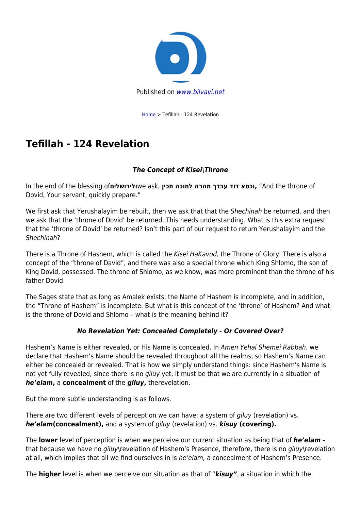

[Home](https://bilvavi.net/) > Tefillah - 124 Revelation

# **Tefillah - 124 Revelation**

## *The Concept of Kisei\Throne*

In the end of the blessing of**ולירושלים**we ask, **תכין לתוכה מהרה עבדך דוד וכסא,**" And the throne of Dovid, Your servant, quickly prepare."

We first ask that Yerushalayim be rebuilt, then we ask that that the Shechinah be returned, and then we ask that the 'throne of Dovid' be returned. This needs understanding. What is this extra request that the 'throne of Dovid' be returned? Isn't this part of our request to return Yerushalayim and the Shechinah?

There is a Throne of Hashem, which is called the Kisei HaKavod, the Throne of Glory. There is also a concept of the "throne of David", and there was also a special throne which King Shlomo, the son of King Dovid, possessed. The throne of Shlomo, as we know, was more prominent than the throne of his father Dovid.

The Sages state that as long as Amalek exists, the Name of Hashem is incomplete, and in addition, the "Throne of Hashem" is incomplete. But what is this concept of the 'throne' of Hashem? And what is the throne of Dovid and Shlomo – what is the meaning behind it?

## *No Revelation Yet: Concealed Completely - Or Covered Over?*

Hashem's Name is either revealed, or His Name is concealed. In Amen Yehai Shemei Rabbah, we declare that Hashem's Name should be revealed throughout all the realms, so Hashem's Name can either be concealed or revealed. That is how we simply understand things: since Hashem's Name is not yet fully revealed, since there is no giluy yet, it must be that we are currently in a situation of *he'elam***,** a **concealment** of the *giluy***,** therevelation.

But the more subtle understanding is as follows.

There are two different levels of perception we can have: a system of *giluv* (revelation) vs. *he'elam***(concealment),** and a system of giluy (revelation) vs. *kisuy* **(covering).**

The **lower** level of perception is when we perceive our current situation as being that of *he'elam* – that because we have no giluy\revelation of Hashem's Presence, therefore, there is no giluy\revelation at all, which implies that all we find ourselves in is he'elam, a concealment of Hashem's Presence.

The **higher** level is when we perceive our situation as that of "*kisuy"*, a situation in which the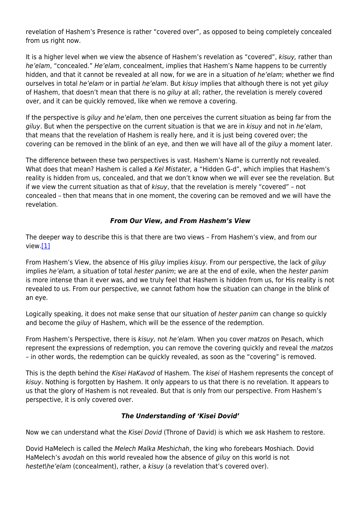revelation of Hashem's Presence is rather "covered over", as opposed to being completely concealed from us right now.

It is a higher level when we view the absence of Hashem's revelation as "covered", kisuy, rather than he'elam, "concealed." He'elam, concealment, implies that Hashem's Name happens to be currently hidden, and that it cannot be revealed at all now, for we are in a situation of he'elam; whether we find ourselves in total he'elam or in partial he'elam. But kisuy implies that although there is not yet giluy of Hashem, that doesn't mean that there is no giluy at all; rather, the revelation is merely covered over, and it can be quickly removed, like when we remove a covering.

If the perspective is giluy and he'elam, then one perceives the current situation as being far from the giluy. But when the perspective on the current situation is that we are in kisuy and not in he'elam, that means that the revelation of Hashem is really here, and it is just being covered over; the covering can be removed in the blink of an eye, and then we will have all of the *giluy* a moment later.

The difference between these two perspectives is vast. Hashem's Name is currently not revealed. What does that mean? Hashem is called a Kel Mistater, a "Hidden G-d", which implies that Hashem's reality is hidden from us, concealed, and that we don't know when we will ever see the revelation. But if we view the current situation as that of kisuy, that the revelation is merely "covered" – not concealed – then that means that in one moment, the covering can be removed and we will have the revelation.

#### *From Our View, and From Hashem's View*

The deeper way to describe this is that there are two views – From Hashem's view, and from our view[.\[1\]](#page--1-0)

From Hashem's View, the absence of His giluy implies kisuy. From our perspective, the lack of giluy implies he'elam, a situation of total hester panim; we are at the end of exile, when the hester panim is more intense than it ever was, and we truly feel that Hashem is hidden from us, for His reality is not revealed to us. From our perspective, we cannot fathom how the situation can change in the blink of an eye.

Logically speaking, it does not make sense that our situation of hester panim can change so quickly and become the giluy of Hashem, which will be the essence of the redemption.

From Hashem's Perspective, there is kisuy, not he'elam. When you cover matzos on Pesach, which represent the expressions of redemption, you can remove the covering quickly and reveal the matzos – in other words, the redemption can be quickly revealed, as soon as the "covering" is removed.

This is the depth behind the Kisei HaKavod of Hashem. The kisei of Hashem represents the concept of kisuy. Nothing is forgotten by Hashem. It only appears to us that there is no revelation. It appears to us that the glory of Hashem is not revealed. But that is only from our perspective. From Hashem's perspective, it is only covered over.

#### *The Understanding of 'Kisei Dovid'*

Now we can understand what the Kisei Dovid (Throne of David) is which we ask Hashem to restore.

Dovid HaMelech is called the Melech Malka Meshichah, the king who forebears Moshiach. Dovid HaMelech's avodah on this world revealed how the absence of giluy on this world is not hestet\he'elam (concealment), rather, a kisuy (a revelation that's covered over).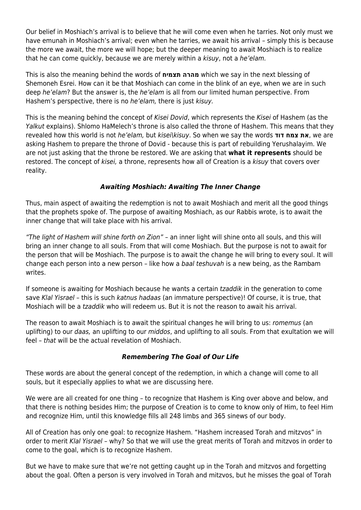Our belief in Moshiach's arrival is to believe that he will come even when he tarries. Not only must we have emunah in Moshiach's arrival; even when he tarries, we await his arrival – simply this is because the more we await, the more we will hope; but the deeper meaning to await Moshiach is to realize that he can come quickly, because we are merely within a kisuy, not a he'elam.

This is also the meaning behind the words of **תצמיח מהרה** which we say in the next blessing of Shemoneh Esrei. How can it be that Moshiach can come in the blink of an eye, when we are in such deep he'elam? But the answer is, the he'elam is all from our limited human perspective. From Hashem's perspective, there is no he'elam, there is just kisuy.

This is the meaning behind the concept of Kisei Dovid, which represents the Kisei of Hashem (as the Yalkut explains). Shlomo HaMelech's throne is also called the throne of Hashem. This means that they revealed how this world is not he'elam, but kisei\kisuy. So when we say the words **דוד צמח את**, we are asking Hashem to prepare the throne of Dovid - because this is part of rebuilding Yerushalayim. We are not just asking that the throne be restored. We are asking that **what it represents** should be restored. The concept of kisei, a throne, represents how all of Creation is a kisuy that covers over reality.

#### *Awaiting Moshiach: Awaiting The Inner Change*

Thus, main aspect of awaiting the redemption is not to await Moshiach and merit all the good things that the prophets spoke of. The purpose of awaiting Moshiach, as our Rabbis wrote, is to await the inner change that will take place with his arrival.

"The light of Hashem will shine forth on Zion" – an inner light will shine onto all souls, and this will bring an inner change to all souls. From that will come Moshiach. But the purpose is not to await for the person that will be Moshiach. The purpose is to await the change he will bring to every soul. It will change each person into a new person - like how a baal teshuvah is a new being, as the Rambam writes.

If someone is awaiting for Moshiach because he wants a certain tzaddik in the generation to come save Klal Yisrael – this is such katnus hadaas (an immature perspective)! Of course, it is true, that Moshiach will be a tzaddik who will redeem us. But it is not the reason to await his arrival.

The reason to await Moshiach is to await the spiritual changes he will bring to us: romemus (an uplifting) to our daas, an uplifting to our middos, and uplifting to all souls. From that exultation we will feel – that will be the actual revelation of Moshiach.

## *Remembering The Goal of Our Life*

These words are about the general concept of the redemption, in which a change will come to all souls, but it especially applies to what we are discussing here.

We were are all created for one thing – to recognize that Hashem is King over above and below, and that there is nothing besides Him; the purpose of Creation is to come to know only of Him, to feel Him and recognize Him, until this knowledge fills all 248 limbs and 365 sinews of our body.

All of Creation has only one goal: to recognize Hashem. "Hashem increased Torah and mitzvos" in order to merit Klal Yisrael – why? So that we will use the great merits of Torah and mitzvos in order to come to the goal, which is to recognize Hashem.

But we have to make sure that we're not getting caught up in the Torah and mitzvos and forgetting about the goal. Often a person is very involved in Torah and mitzvos, but he misses the goal of Torah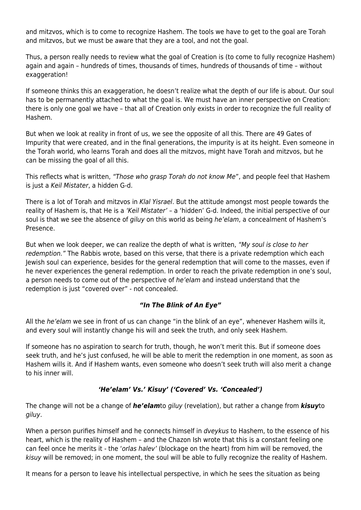and mitzvos, which is to come to recognize Hashem. The tools we have to get to the goal are Torah and mitzvos, but we must be aware that they are a tool, and not the goal.

Thus, a person really needs to review what the goal of Creation is (to come to fully recognize Hashem) again and again – hundreds of times, thousands of times, hundreds of thousands of time – without exaggeration!

If someone thinks this an exaggeration, he doesn't realize what the depth of our life is about. Our soul has to be permanently attached to what the goal is. We must have an inner perspective on Creation: there is only one goal we have – that all of Creation only exists in order to recognize the full reality of Hashem.

But when we look at reality in front of us, we see the opposite of all this. There are 49 Gates of Impurity that were created, and in the final generations, the impurity is at its height. Even someone in the Torah world, who learns Torah and does all the mitzvos, might have Torah and mitzvos, but he can be missing the goal of all this.

This reflects what is written, "Those who grasp Torah do not know Me", and people feel that Hashem is just a Keil Mistater, a hidden G-d.

There is a lot of Torah and mitzvos in Klal Yisrael. But the attitude amongst most people towards the reality of Hashem is, that He is a 'Keil Mistater' – a 'hidden' G-d. Indeed, the initial perspective of our soul is that we see the absence of giluy on this world as being he'elam, a concealment of Hashem's Presence.

But when we look deeper, we can realize the depth of what is written, "My soul is close to her redemption." The Rabbis wrote, based on this verse, that there is a private redemption which each Jewish soul can experience, besides for the general redemption that will come to the masses, even if he never experiences the general redemption. In order to reach the private redemption in one's soul, a person needs to come out of the perspective of he'elam and instead understand that the redemption is just "covered over" - not concealed.

## *"In The Blink of An Eye"*

All the he'elam we see in front of us can change "in the blink of an eye", whenever Hashem wills it, and every soul will instantly change his will and seek the truth, and only seek Hashem.

If someone has no aspiration to search for truth, though, he won't merit this. But if someone does seek truth, and he's just confused, he will be able to merit the redemption in one moment, as soon as Hashem wills it. And if Hashem wants, even someone who doesn't seek truth will also merit a change to his inner will.

## *'He'elam' Vs.' Kisuy' ('Covered' Vs. 'Concealed')*

The change will not be a change of *he'elam*to giluy (revelation), but rather a change from *kisuy*to giluy.

When a person purifies himself and he connects himself in dveykus to Hashem, to the essence of his heart, which is the reality of Hashem – and the Chazon Ish wrote that this is a constant feeling one can feel once he merits it - the 'orlas halev' (blockage on the heart) from him will be removed, the kisuy will be removed; in one moment, the soul will be able to fully recognize the reality of Hashem.

It means for a person to leave his intellectual perspective, in which he sees the situation as being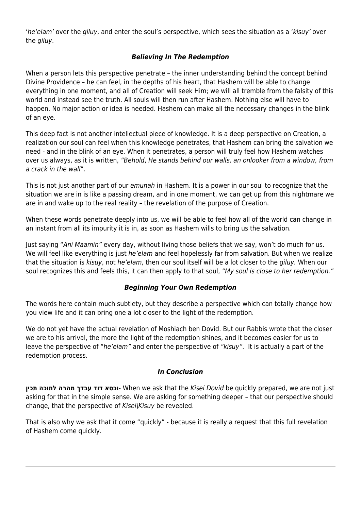'he'elam' over the giluy, and enter the soul's perspective, which sees the situation as a 'kisuy' over the giluy.

## *Believing In The Redemption*

When a person lets this perspective penetrate – the inner understanding behind the concept behind Divine Providence – he can feel, in the depths of his heart, that Hashem will be able to change everything in one moment, and all of Creation will seek Him; we will all tremble from the falsity of this world and instead see the truth. All souls will then run after Hashem. Nothing else will have to happen. No major action or idea is needed. Hashem can make all the necessary changes in the blink of an eye.

This deep fact is not another intellectual piece of knowledge. It is a deep perspective on Creation, a realization our soul can feel when this knowledge penetrates, that Hashem can bring the salvation we need - and in the blink of an eye. When it penetrates, a person will truly feel how Hashem watches over us always, as it is written, "Behold, He stands behind our walls, an onlooker from a window, from a crack in the wall".

This is not just another part of our emunah in Hashem. It is a power in our soul to recognize that the situation we are in is like a passing dream, and in one moment, we can get up from this nightmare we are in and wake up to the real reality – the revelation of the purpose of Creation.

When these words penetrate deeply into us, we will be able to feel how all of the world can change in an instant from all its impurity it is in, as soon as Hashem wills to bring us the salvation.

Just saying "Ani Maamin" every day, without living those beliefs that we say, won't do much for us. We will feel like everything is just he'elam and feel hopelessly far from salvation. But when we realize that the situation is kisuy, not he'elam, then our soul itself will be a lot closer to the giluy. When our soul recognizes this and feels this, it can then apply to that soul, "My soul is close to her redemption."

#### *Beginning Your Own Redemption*

The words here contain much subtlety, but they describe a perspective which can totally change how you view life and it can bring one a lot closer to the light of the redemption.

We do not yet have the actual revelation of Moshiach ben Dovid. But our Rabbis wrote that the closer we are to his arrival, the more the light of the redemption shines, and it becomes easier for us to leave the perspective of "he'elam" and enter the perspective of "kisuy". It is actually a part of the redemption process.

#### *In Conclusion*

**תכין לתוכה מהרה עבדך דוד וכסא**- When we ask that the Kisei Dovid be quickly prepared, we are not just asking for that in the simple sense. We are asking for something deeper – that our perspective should change, that the perspective of Kisei\Kisuy be revealed.

That is also why we ask that it come "quickly" - because it is really a request that this full revelation of Hashem come quickly.